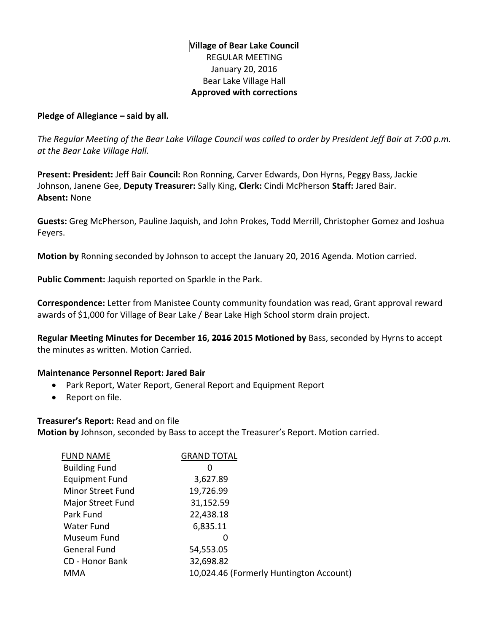# **Village of Bear Lake Council** REGULAR MEETING January 20, 2016 Bear Lake Village Hall **Approved with corrections**

### **Pledge of Allegiance – said by all.**

*The Regular Meeting of the Bear Lake Village Council was called to order by President Jeff Bair at 7:00 p.m. at the Bear Lake Village Hall.*

**Present: President:** Jeff Bair **Council:** Ron Ronning, Carver Edwards, Don Hyrns, Peggy Bass, Jackie Johnson, Janene Gee, **Deputy Treasurer:** Sally King, **Clerk:** Cindi McPherson **Staff:** Jared Bair. **Absent:** None

**Guests:** Greg McPherson, Pauline Jaquish, and John Prokes, Todd Merrill, Christopher Gomez and Joshua Feyers.

**Motion by** Ronning seconded by Johnson to accept the January 20, 2016 Agenda. Motion carried.

**Public Comment:** Jaquish reported on Sparkle in the Park.

**Correspondence:** Letter from Manistee County community foundation was read, Grant approval reward awards of \$1,000 for Village of Bear Lake / Bear Lake High School storm drain project.

**Regular Meeting Minutes for December 16, 2016 2015 Motioned by** Bass, seconded by Hyrns to accept the minutes as written. Motion Carried.

### **Maintenance Personnel Report: Jared Bair**

- Park Report, Water Report, General Report and Equipment Report
- Report on file.

### **Treasurer's Report:** Read and on file

**Motion by** Johnson, seconded by Bass to accept the Treasurer's Report. Motion carried.

| <b>FUND NAME</b>         | <b>GRAND TOTAL</b> |                                         |
|--------------------------|--------------------|-----------------------------------------|
| <b>Building Fund</b>     | 0                  |                                         |
| <b>Equipment Fund</b>    | 3,627.89           |                                         |
| <b>Minor Street Fund</b> | 19,726.99          |                                         |
| Major Street Fund        | 31,152.59          |                                         |
| Park Fund                | 22,438.18          |                                         |
| Water Fund               | 6,835.11           |                                         |
| Museum Fund              | 0                  |                                         |
| <b>General Fund</b>      | 54,553.05          |                                         |
| CD - Honor Bank          | 32,698.82          |                                         |
| MMA                      |                    | 10,024.46 (Formerly Huntington Account) |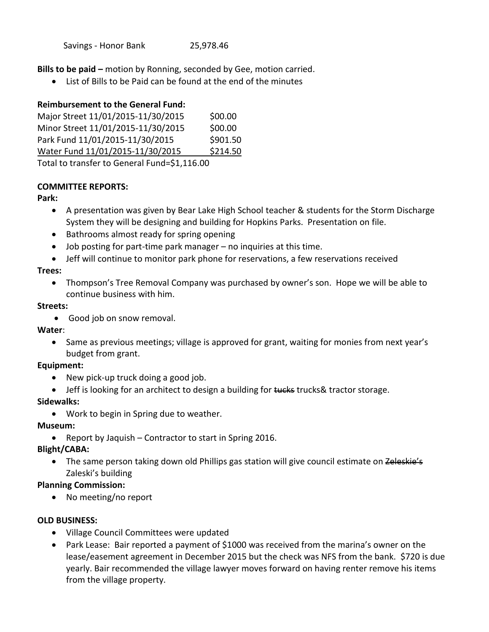**Bills to be paid –** motion by Ronning, seconded by Gee, motion carried.

List of Bills to be Paid can be found at the end of the minutes

### **Reimbursement to the General Fund:**

| Major Street 11/01/2015-11/30/2015 | \$00.00  |
|------------------------------------|----------|
| Minor Street 11/01/2015-11/30/2015 | \$00.00  |
| Park Fund 11/01/2015-11/30/2015    | \$901.50 |
| Water Fund 11/01/2015-11/30/2015   | \$214.50 |
|                                    |          |

Total to transfer to General Fund=\$1,116.00

### **COMMITTEE REPORTS:**

### **Park:**

- A presentation was given by Bear Lake High School teacher & students for the Storm Discharge System they will be designing and building for Hopkins Parks. Presentation on file.
- Bathrooms almost ready for spring opening
- Job posting for part-time park manager no inquiries at this time.
- Jeff will continue to monitor park phone for reservations, a few reservations received

### **Trees:**

 Thompson's Tree Removal Company was purchased by owner's son. Hope we will be able to continue business with him.

### **Streets:**

Good job on snow removal.

### **Water**:

• Same as previous meetings; village is approved for grant, waiting for monies from next year's budget from grant.

### **Equipment:**

- New pick-up truck doing a good job.
- Jeff is looking for an architect to design a building for tucks trucks& tractor storage.

## **Sidewalks:**

Work to begin in Spring due to weather.

## **Museum:**

• Report by Jaquish – Contractor to start in Spring 2016.

## **Blight/CABA:**

• The same person taking down old Phillips gas station will give council estimate on Zeleskie's Zaleski's building

## **Planning Commission:**

• No meeting/no report

## **OLD BUSINESS:**

- Village Council Committees were updated
- Park Lease: Bair reported a payment of \$1000 was received from the marina's owner on the lease/easement agreement in December 2015 but the check was NFS from the bank. \$720 is due yearly. Bair recommended the village lawyer moves forward on having renter remove his items from the village property.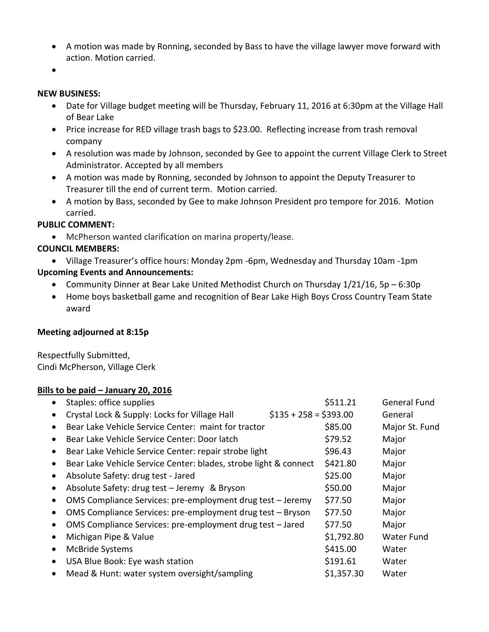- A motion was made by Ronning, seconded by Bass to have the village lawyer move forward with action. Motion carried.
- $\bullet$

#### **NEW BUSINESS:**

- Date for Village budget meeting will be Thursday, February 11, 2016 at 6:30pm at the Village Hall of Bear Lake
- Price increase for RED village trash bags to \$23.00. Reflecting increase from trash removal company
- A resolution was made by Johnson, seconded by Gee to appoint the current Village Clerk to Street Administrator. Accepted by all members
- A motion was made by Ronning, seconded by Johnson to appoint the Deputy Treasurer to Treasurer till the end of current term. Motion carried.
- A motion by Bass, seconded by Gee to make Johnson President pro tempore for 2016. Motion carried.

### **PUBLIC COMMENT:**

McPherson wanted clarification on marina property/lease.

### **COUNCIL MEMBERS:**

- Village Treasurer's office hours: Monday 2pm -6pm, Wednesday and Thursday 10am -1pm **Upcoming Events and Announcements:**
	- Community Dinner at Bear Lake United Methodist Church on Thursday 1/21/16, 5p 6:30p
	- Home boys basketball game and recognition of Bear Lake High Boys Cross Country Team State award

### **Meeting adjourned at 8:15p**

Respectfully Submitted, Cindi McPherson, Village Clerk

### **Bills to be paid – January 20, 2016**

|           | Staples: office supplies                                         |                        | \$511.21   | <b>General Fund</b> |
|-----------|------------------------------------------------------------------|------------------------|------------|---------------------|
|           | Crystal Lock & Supply: Locks for Village Hall                    | $$135 + 258 = $393.00$ |            | General             |
|           | Bear Lake Vehicle Service Center: maint for tractor              |                        | \$85.00    | Major St. Fund      |
|           | Bear Lake Vehicle Service Center: Door latch                     |                        | \$79.52    | Major               |
| $\bullet$ | Bear Lake Vehicle Service Center: repair strobe light            |                        | \$96.43    | Major               |
|           | Bear Lake Vehicle Service Center: blades, strobe light & connect |                        | \$421.80   | Major               |
| $\bullet$ | Absolute Safety: drug test - Jared                               |                        | \$25.00    | Major               |
|           | Absolute Safety: drug test - Jeremy & Bryson                     |                        | \$50.00    | Major               |
|           | OMS Compliance Services: pre-employment drug test - Jeremy       |                        | \$77.50    | Major               |
|           | OMS Compliance Services: pre-employment drug test - Bryson       |                        | \$77.50    | Major               |
|           | OMS Compliance Services: pre-employment drug test - Jared        |                        | \$77.50    | Major               |
|           | Michigan Pipe & Value                                            |                        | \$1,792.80 | Water Fund          |
| $\bullet$ | McBride Systems                                                  |                        | \$415.00   | Water               |
|           | USA Blue Book: Eye wash station                                  |                        | \$191.61   | Water               |
| $\bullet$ | Mead & Hunt: water system oversight/sampling                     |                        | \$1,357.30 | Water               |